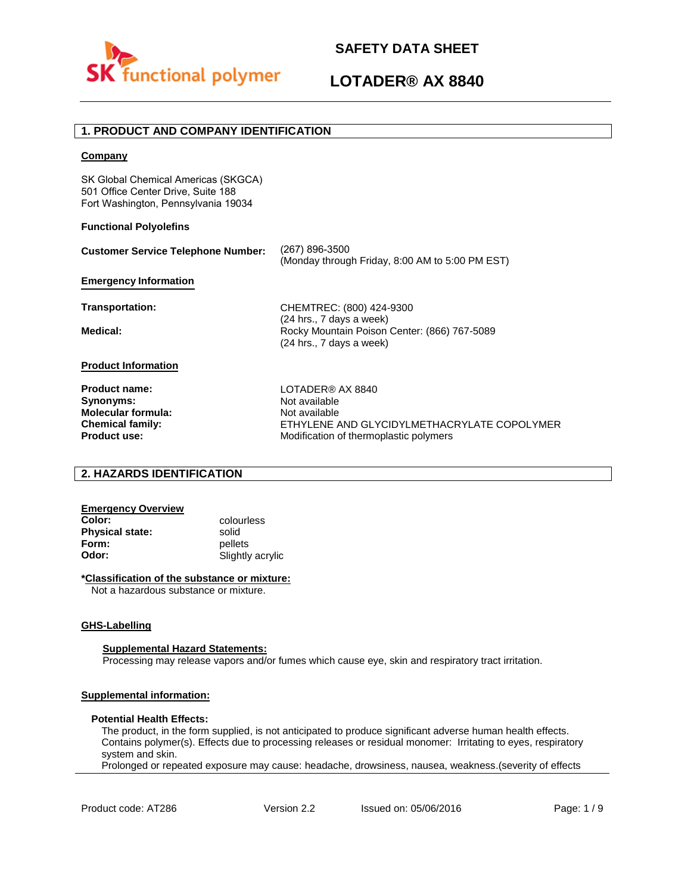



## **LOTADER® AX 8840**

## **1. PRODUCT AND COMPANY IDENTIFICATION**

#### **Company**

SK Global Chemical Americas (SKGCA) 501 Office Center Drive, Suite 188 Fort Washington, Pennsylvania 19034

#### **Functional Polyolefins**

| <b>Customer Service Telephone Number:</b> | (267) 896-3500<br>(Monday through Friday, 8:00 AM to 5:00 PM EST)        |
|-------------------------------------------|--------------------------------------------------------------------------|
| <b>Emergency Information</b>              |                                                                          |
| Transportation:                           | CHEMTREC: (800) 424-9300<br>(24 hrs., 7 days a week)                     |
| Medical:                                  | Rocky Mountain Poison Center: (866) 767-5089<br>(24 hrs., 7 days a week) |
| <b>Product Information</b>                |                                                                          |
| <b>Product name:</b>                      | LOTADER® AX 8840                                                         |
| Synonyms:                                 | Not available                                                            |
| <b>Molecular formula:</b>                 | Not available                                                            |
| <b>Chemical family:</b>                   | ETHYLENE AND GLYCIDYLMETHACRYLATE COPOLYMER                              |
| <b>Product use:</b>                       | Modification of thermoplastic polymers                                   |

## **2. HAZARDS IDENTIFICATION**

# **Emergency Overview**

**Physical state:** solid<br> **Form:** nellet **Form:** pellets<br> **Odor:** Slightly

**Color:** colourless **Odor:** Slightly acrylic

#### **\*Classification of the substance or mixture:**

Not a hazardous substance or mixture.

#### **GHS-Labelling**

#### **Supplemental Hazard Statements:**

Processing may release vapors and/or fumes which cause eye, skin and respiratory tract irritation.

### **Supplemental information:**

#### **Potential Health Effects:**

The product, in the form supplied, is not anticipated to produce significant adverse human health effects. Contains polymer(s). Effects due to processing releases or residual monomer: Irritating to eyes, respiratory system and skin.

Prolonged or repeated exposure may cause: headache, drowsiness, nausea, weakness.(severity of effects

Product code: AT286 Version 2.2 Issued on: 05/06/2016 Page: 1/9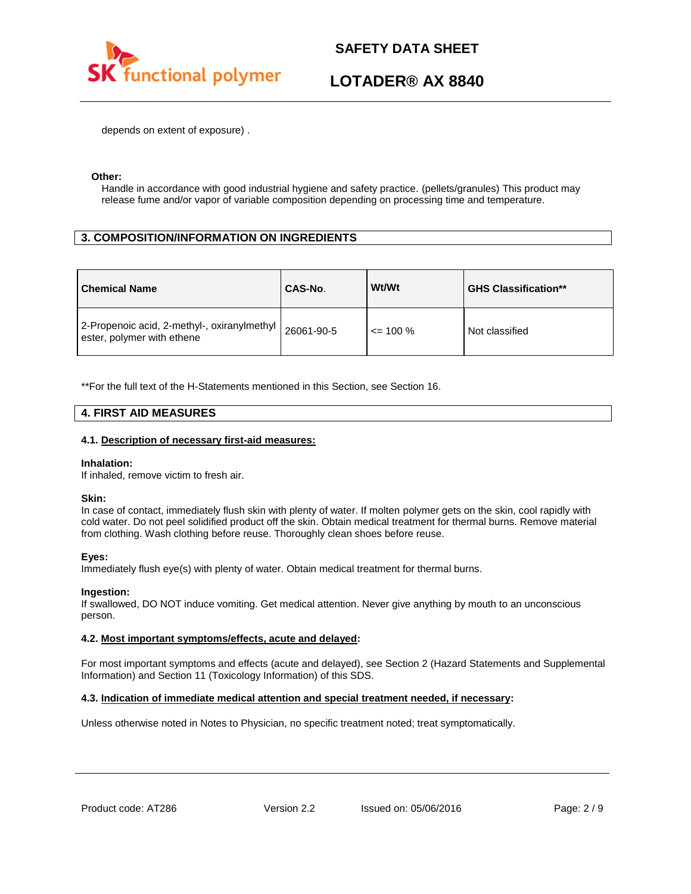

## **LOTADER® AX 8840**

depends on extent of exposure) .

#### **Other:**

Handle in accordance with good industrial hygiene and safety practice. (pellets/granules) This product may release fume and/or vapor of variable composition depending on processing time and temperature.

## **3. COMPOSITION/INFORMATION ON INGREDIENTS**

| <b>Chemical Name</b>                                                                        | CAS-No. | Wt/Wt        | <b>GHS Classification**</b> |
|---------------------------------------------------------------------------------------------|---------|--------------|-----------------------------|
| $12$ -Propenoic acid, 2-methyl-, oxiranylmethyl $ 26061-90-5$<br>ester, polymer with ethene |         | $\leq$ 100 % | Not classified              |

\*\*For the full text of the H-Statements mentioned in this Section, see Section 16.

### **4. FIRST AID MEASURES**

#### **4.1. Description of necessary first-aid measures:**

#### **Inhalation:**

If inhaled, remove victim to fresh air.

#### **Skin:**

In case of contact, immediately flush skin with plenty of water. If molten polymer gets on the skin, cool rapidly with cold water. Do not peel solidified product off the skin. Obtain medical treatment for thermal burns. Remove material from clothing. Wash clothing before reuse. Thoroughly clean shoes before reuse.

### **Eyes:**

Immediately flush eye(s) with plenty of water. Obtain medical treatment for thermal burns.

### **Ingestion:**

If swallowed, DO NOT induce vomiting. Get medical attention. Never give anything by mouth to an unconscious person.

### **4.2. Most important symptoms/effects, acute and delayed:**

For most important symptoms and effects (acute and delayed), see Section 2 (Hazard Statements and Supplemental Information) and Section 11 (Toxicology Information) of this SDS.

### **4.3. Indication of immediate medical attention and special treatment needed, if necessary:**

Unless otherwise noted in Notes to Physician, no specific treatment noted; treat symptomatically.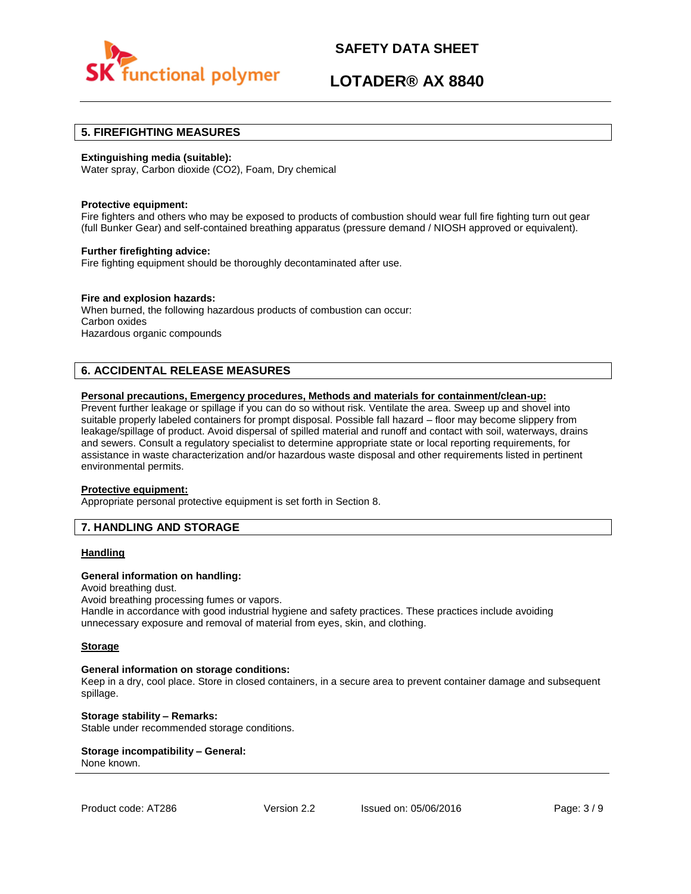

## **LOTADER® AX 8840**

### **5. FIREFIGHTING MEASURES**

#### **Extinguishing media (suitable):**

Water spray, Carbon dioxide (CO2), Foam, Dry chemical

#### **Protective equipment:**

Fire fighters and others who may be exposed to products of combustion should wear full fire fighting turn out gear (full Bunker Gear) and self-contained breathing apparatus (pressure demand / NIOSH approved or equivalent).

#### **Further firefighting advice:**

Fire fighting equipment should be thoroughly decontaminated after use.

#### **Fire and explosion hazards:**

When burned, the following hazardous products of combustion can occur: Carbon oxides Hazardous organic compounds

## **6. ACCIDENTAL RELEASE MEASURES**

#### **Personal precautions, Emergency procedures, Methods and materials for containment/clean-up:**

Prevent further leakage or spillage if you can do so without risk. Ventilate the area. Sweep up and shovel into suitable properly labeled containers for prompt disposal. Possible fall hazard – floor may become slippery from leakage/spillage of product. Avoid dispersal of spilled material and runoff and contact with soil, waterways, drains and sewers. Consult a regulatory specialist to determine appropriate state or local reporting requirements, for assistance in waste characterization and/or hazardous waste disposal and other requirements listed in pertinent environmental permits.

#### **Protective equipment:**

Appropriate personal protective equipment is set forth in Section 8.

### **7. HANDLING AND STORAGE**

#### **Handling**

#### **General information on handling:**

Avoid breathing dust.

Avoid breathing processing fumes or vapors.

Handle in accordance with good industrial hygiene and safety practices. These practices include avoiding unnecessary exposure and removal of material from eyes, skin, and clothing.

#### **Storage**

#### **General information on storage conditions:**

Keep in a dry, cool place. Store in closed containers, in a secure area to prevent container damage and subsequent spillage.

**Storage stability – Remarks:**  Stable under recommended storage conditions.

#### **Storage incompatibility – General:**  None known.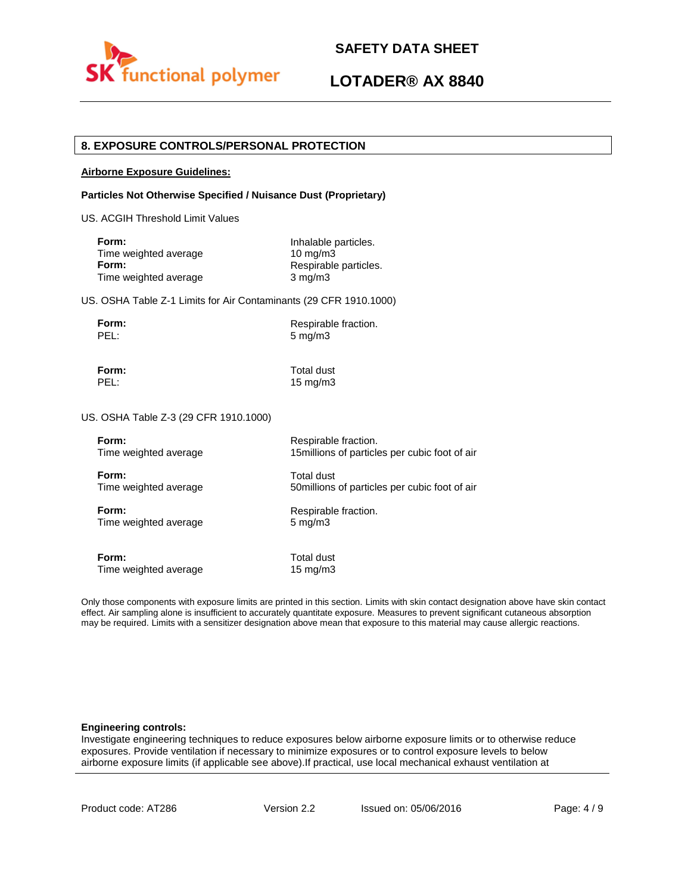

## **LOTADER® AX 8840**

### **8. EXPOSURE CONTROLS/PERSONAL PROTECTION**

#### **Airborne Exposure Guidelines:**

#### **Particles Not Otherwise Specified / Nuisance Dust (Proprietary)**

US. ACGIH Threshold Limit Values

| Inhalable particles.  |
|-----------------------|
| $10 \text{ ma/m}$ 3   |
| Respirable particles. |
| $3 \text{ mg/m}$      |
|                       |

US. OSHA Table Z-1 Limits for Air Contaminants (29 CFR 1910.1000)

**Form:** Respirable fraction.<br> **PEL:** 5 mg/m3 5 mg/m3

**Form:** Total dust

PEL: 15 mg/m3

US. OSHA Table Z-3 (29 CFR 1910.1000)

| Form:                 | Respirable fraction.                           |
|-----------------------|------------------------------------------------|
| Time weighted average | 15 millions of particles per cubic foot of air |
| Form:                 | Total dust                                     |
| Time weighted average | 50 millions of particles per cubic foot of air |
| Form:                 | Respirable fraction.                           |
| Time weighted average | $5 \text{ mg/m}$                               |
| Form:                 | Total dust                                     |
| Time weighted average | $15 \text{ mg/m}$                              |

Only those components with exposure limits are printed in this section. Limits with skin contact designation above have skin contact effect. Air sampling alone is insufficient to accurately quantitate exposure. Measures to prevent significant cutaneous absorption may be required. Limits with a sensitizer designation above mean that exposure to this material may cause allergic reactions.

#### **Engineering controls:**

Investigate engineering techniques to reduce exposures below airborne exposure limits or to otherwise reduce exposures. Provide ventilation if necessary to minimize exposures or to control exposure levels to below airborne exposure limits (if applicable see above).If practical, use local mechanical exhaust ventilation at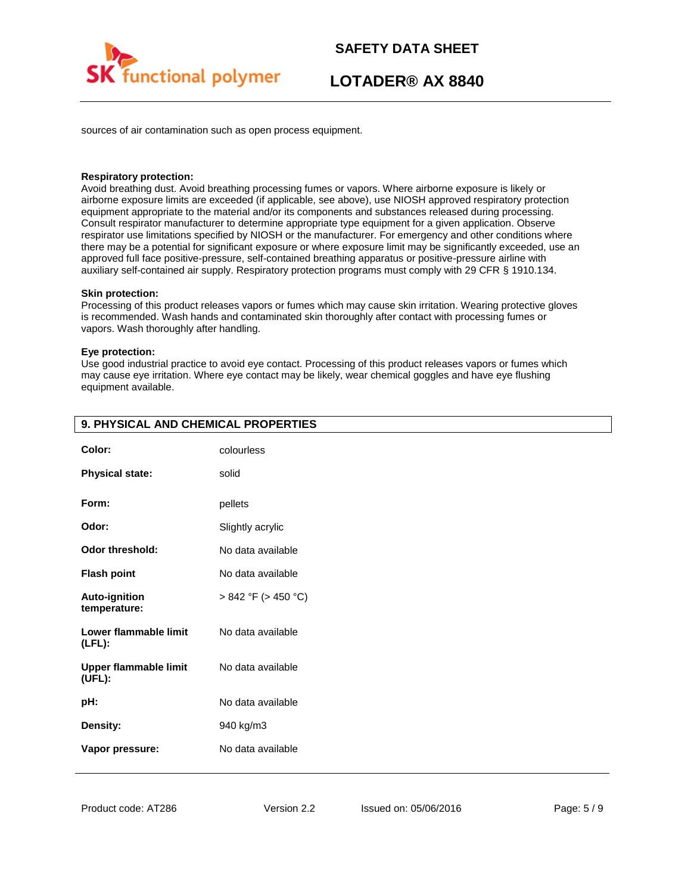

## **LOTADER® AX 8840**

sources of air contamination such as open process equipment.

#### **Respiratory protection:**

Avoid breathing dust. Avoid breathing processing fumes or vapors. Where airborne exposure is likely or airborne exposure limits are exceeded (if applicable, see above), use NIOSH approved respiratory protection equipment appropriate to the material and/or its components and substances released during processing. Consult respirator manufacturer to determine appropriate type equipment for a given application. Observe respirator use limitations specified by NIOSH or the manufacturer. For emergency and other conditions where there may be a potential for significant exposure or where exposure limit may be significantly exceeded, use an approved full face positive-pressure, self-contained breathing apparatus or positive-pressure airline with auxiliary self-contained air supply. Respiratory protection programs must comply with 29 CFR § 1910.134.

#### **Skin protection:**

Processing of this product releases vapors or fumes which may cause skin irritation. Wearing protective gloves is recommended. Wash hands and contaminated skin thoroughly after contact with processing fumes or vapors. Wash thoroughly after handling.

#### **Eye protection:**

Use good industrial practice to avoid eye contact. Processing of this product releases vapors or fumes which may cause eye irritation. Where eye contact may be likely, wear chemical goggles and have eye flushing equipment available.

| Color:                                 | colourless               |
|----------------------------------------|--------------------------|
| <b>Physical state:</b>                 | solid                    |
| Form:                                  | pellets                  |
| Odor:                                  | Slightly acrylic         |
| <b>Odor threshold:</b>                 | No data available        |
| <b>Flash point</b>                     | No data available        |
| <b>Auto-ignition</b><br>temperature:   | $> 842$ °F ( $> 450$ °C) |
| Lower flammable limit<br>$(LFL)$ :     | No data available        |
| <b>Upper flammable limit</b><br>(UEL): | No data available        |
| pH:                                    | No data available        |
| Density:                               | 940 kg/m3                |
| Vapor pressure:                        | No data available        |

## **9. PHYSICAL AND CHEMICAL PROPERTIES**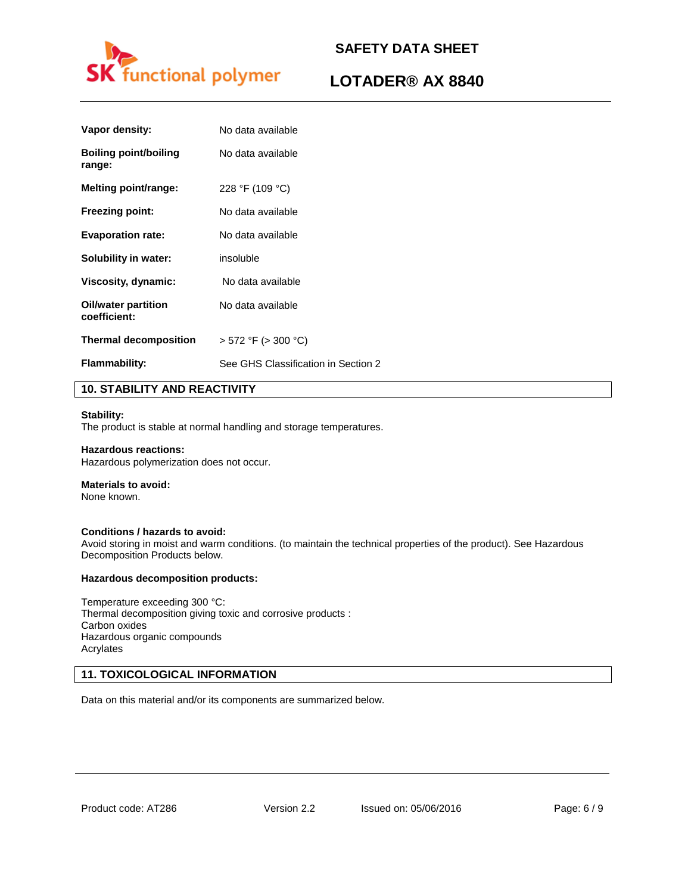

## **LOTADER® AX 8840**

| Vapor density:                      | No data available                   |
|-------------------------------------|-------------------------------------|
| Boiling point/boiling<br>range:     | No data available                   |
| <b>Melting point/range:</b>         | 228 °F (109 °C)                     |
| <b>Freezing point:</b>              | No data available                   |
| <b>Evaporation rate:</b>            | No data available                   |
| Solubility in water:                | insoluble                           |
| Viscosity, dynamic:                 | No data available                   |
| Oil/water partition<br>coefficient: | No data available                   |
| <b>Thermal decomposition</b>        | $>$ 572 °F ( $>$ 300 °C)            |
| <b>Flammability:</b>                | See GHS Classification in Section 2 |
|                                     |                                     |

## **10. STABILITY AND REACTIVITY**

#### **Stability:**

The product is stable at normal handling and storage temperatures.

#### **Hazardous reactions:**

Hazardous polymerization does not occur.

## **Materials to avoid:**

None known.

### **Conditions / hazards to avoid:**

Avoid storing in moist and warm conditions. (to maintain the technical properties of the product). See Hazardous Decomposition Products below.

#### **Hazardous decomposition products:**

Temperature exceeding 300 °C: Thermal decomposition giving toxic and corrosive products : Carbon oxides Hazardous organic compounds Acrylates

## **11. TOXICOLOGICAL INFORMATION**

Data on this material and/or its components are summarized below.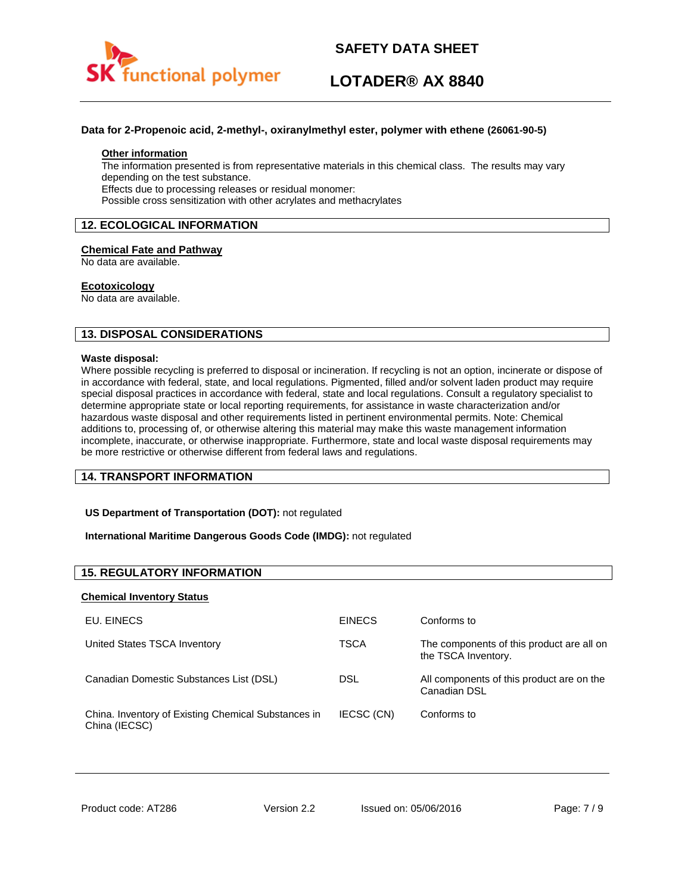

## **LOTADER® AX 8840**

#### **Data for 2-Propenoic acid, 2-methyl-, oxiranylmethyl ester, polymer with ethene (26061-90-5)**

#### **Other information**

The information presented is from representative materials in this chemical class. The results may vary depending on the test substance. Effects due to processing releases or residual monomer: Possible cross sensitization with other acrylates and methacrylates

### **12. ECOLOGICAL INFORMATION**

#### **Chemical Fate and Pathway**

No data are available.

#### **Ecotoxicology**

No data are available.

## **13. DISPOSAL CONSIDERATIONS**

#### **Waste disposal:**

Where possible recycling is preferred to disposal or incineration. If recycling is not an option, incinerate or dispose of in accordance with federal, state, and local regulations. Pigmented, filled and/or solvent laden product may require special disposal practices in accordance with federal, state and local regulations. Consult a regulatory specialist to determine appropriate state or local reporting requirements, for assistance in waste characterization and/or hazardous waste disposal and other requirements listed in pertinent environmental permits. Note: Chemical additions to, processing of, or otherwise altering this material may make this waste management information incomplete, inaccurate, or otherwise inappropriate. Furthermore, state and local waste disposal requirements may be more restrictive or otherwise different from federal laws and regulations.

### **14. TRANSPORT INFORMATION**

#### **US Department of Transportation (DOT):** not regulated

#### **International Maritime Dangerous Goods Code (IMDG):** not regulated

## **15. REGULATORY INFORMATION**

#### **Chemical Inventory Status**

| EU. EINECS                                                           | <b>EINECS</b> | Conforms to                                                      |
|----------------------------------------------------------------------|---------------|------------------------------------------------------------------|
| United States TSCA Inventory                                         | TSCA          | The components of this product are all on<br>the TSCA Inventory. |
| Canadian Domestic Substances List (DSL)                              | DSL           | All components of this product are on the<br>Canadian DSL        |
| China. Inventory of Existing Chemical Substances in<br>China (IECSC) | IECSC (CN)    | Conforms to                                                      |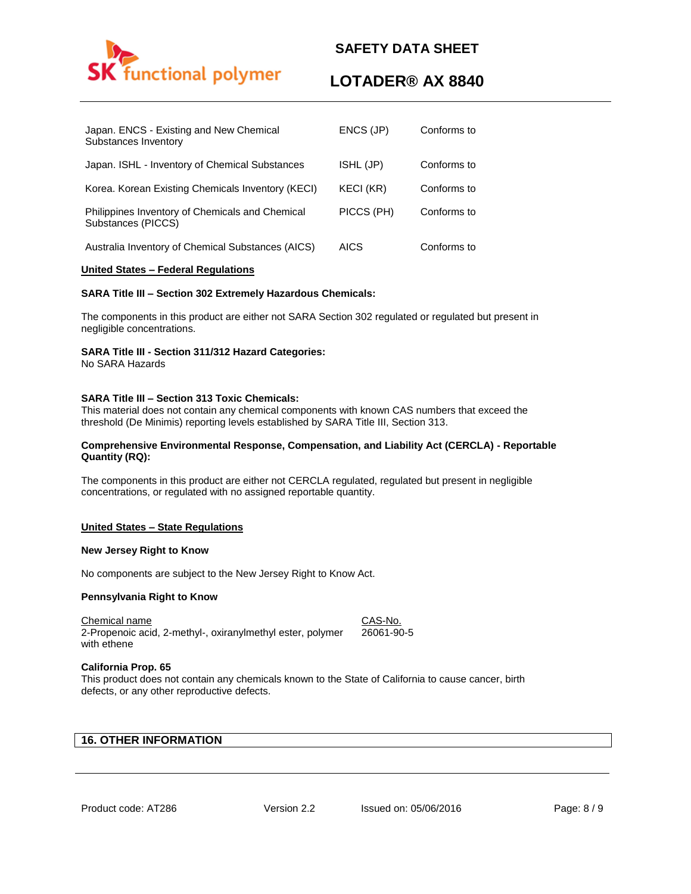

## **LOTADER® AX 8840**

| Japan. ENCS - Existing and New Chemical<br>Substances Inventory       | ENCS (JP)  | Conforms to |
|-----------------------------------------------------------------------|------------|-------------|
| Japan. ISHL - Inventory of Chemical Substances                        | ISHL (JP)  | Conforms to |
| Korea. Korean Existing Chemicals Inventory (KECI)                     | KECI (KR)  | Conforms to |
| Philippines Inventory of Chemicals and Chemical<br>Substances (PICCS) | PICCS (PH) | Conforms to |
| Australia Inventory of Chemical Substances (AICS)                     | AICS       | Conforms to |

#### **United States – Federal Regulations**

#### **SARA Title III – Section 302 Extremely Hazardous Chemicals:**

The components in this product are either not SARA Section 302 regulated or regulated but present in negligible concentrations.

### **SARA Title III - Section 311/312 Hazard Categories:**

No SARA Hazards

### **SARA Title III – Section 313 Toxic Chemicals:**

This material does not contain any chemical components with known CAS numbers that exceed the threshold (De Minimis) reporting levels established by SARA Title III, Section 313.

#### **Comprehensive Environmental Response, Compensation, and Liability Act (CERCLA) - Reportable Quantity (RQ):**

The components in this product are either not CERCLA regulated, regulated but present in negligible concentrations, or regulated with no assigned reportable quantity.

### **United States – State Regulations**

#### **New Jersey Right to Know**

No components are subject to the New Jersey Right to Know Act.

#### **Pennsylvania Right to Know**

Chemical name CAS-No. 2-Propenoic acid, 2-methyl-, oxiranylmethyl ester, polymer with ethene 26061-90-5

### **California Prop. 65**

This product does not contain any chemicals known to the State of California to cause cancer, birth defects, or any other reproductive defects.

## **16. OTHER INFORMATION**